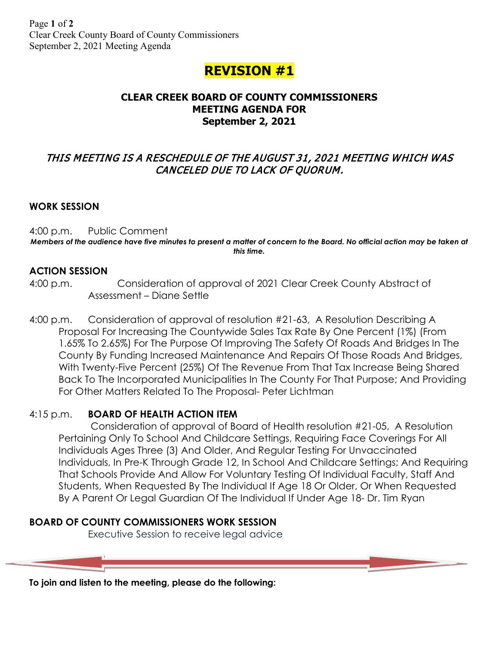# **REVISION #1**

# **CLEAR CREEK BOARD OF COUNTY COMMISSIONERS MEETING AGENDA FOR September 2, 2021**

# THIS MEETING IS A RESCHEDULE OF THE AUGUST 31, 2021 MEETING WHICH WAS CANCELED DUE TO LACK OF QUORUM.

# **WORK SESSION**

4:00 p.m. Public Comment *Members of the audience have five minutes to present a matter of concern to the Board. No official action may be taken at this time.*

#### **ACTION SESSION**

- 4:00 p.m. Consideration of approval of 2021 Clear Creek County Abstract of Assessment – Diane Settle
- 4:00 p.m. Consideration of approval of resolution #21-63, A Resolution Describing A Proposal For Increasing The Countywide Sales Tax Rate By One Percent (1%) (From 1.65% To 2.65%) For The Purpose Of Improving The Safety Of Roads And Bridges In The County By Funding Increased Maintenance And Repairs Of Those Roads And Bridges, With Twenty-Five Percent (25%) Of The Revenue From That Tax Increase Being Shared Back To The Incorporated Municipalities In The County For That Purpose; And Providing For Other Matters Related To The Proposal- Peter Lichtman

# 4:15 p.m. **BOARD OF HEALTH ACTION ITEM**

Consideration of approval of Board of Health resolution #21-05, A Resolution Pertaining Only To School And Childcare Settings, Requiring Face Coverings For All Individuals Ages Three (3) And Older, And Regular Testing For Unvaccinated Individuals, In Pre-K Through Grade 12, In School And Childcare Settings; And Requiring That Schools Provide And Allow For Voluntary Testing Of Individual Faculty, Staff And Students, When Requested By The Individual If Age 18 Or Older, Or When Requested By A Parent Or Legal Guardian Of The Individual If Under Age 18- Dr. Tim Ryan

# **BOARD OF COUNTY COMMISSIONERS WORK SESSION**

Executive Session to receive legal advice

**To join and listen to the meeting, please do the following:**